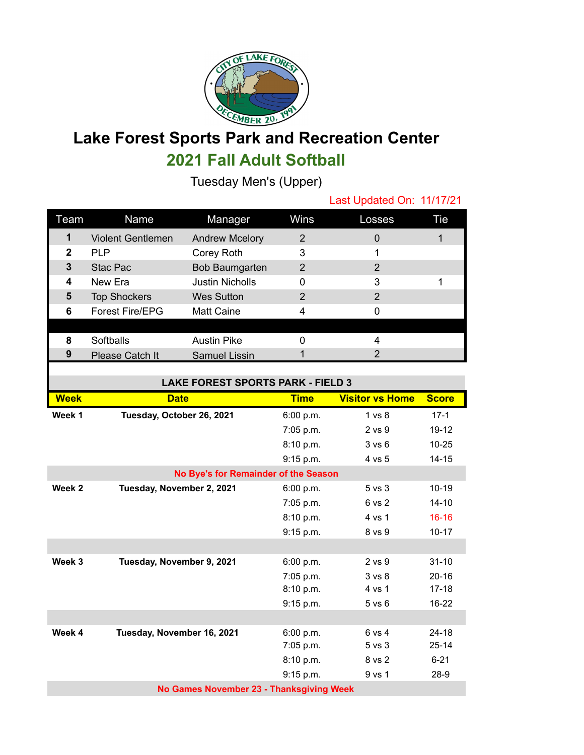

## **Lake Forest Sports Park and Recreation Center 2021 Fall Adult Softball**

Tuesday Men's (Upper)

|              |                          |                        |      | Last Updated On: 11/17/21 |     |
|--------------|--------------------------|------------------------|------|---------------------------|-----|
| Team         | Name                     | Manager                | Wins | Losses                    | Tie |
| 1            | <b>Violent Gentlemen</b> | <b>Andrew Mcelory</b>  | 2    | $\Omega$                  |     |
| $\mathbf{2}$ | <b>PLP</b>               | Corey Roth             | 3    |                           |     |
| 3            | Stac Pac                 | Bob Baumgarten         | 2    | 2                         |     |
| 4            | New Era                  | <b>Justin Nicholls</b> | 0    | 3                         |     |
| 5            | <b>Top Shockers</b>      | <b>Wes Sutton</b>      | 2    | 2                         |     |
| 6            | <b>Forest Fire/EPG</b>   | Matt Caine             | 4    | 0                         |     |
|              |                          |                        |      |                           |     |
| 8            | Softballs                | <b>Austin Pike</b>     | ი    |                           |     |
| 9            | Please Catch It          | <b>Samuel Lissin</b>   |      | 2                         |     |

| <b>LAKE FOREST SPORTS PARK - FIELD 3</b> |                            |             |                        |              |  |  |  |
|------------------------------------------|----------------------------|-------------|------------------------|--------------|--|--|--|
| <b>Week</b>                              | <b>Date</b>                | <b>Time</b> | <b>Visitor vs Home</b> | <b>Score</b> |  |  |  |
| Week 1                                   | Tuesday, October 26, 2021  | 6:00 p.m.   | 1 <sub>vs</sub> 8      | $17-1$       |  |  |  |
|                                          |                            | 7:05 p.m.   | 2 vs 9                 | $19 - 12$    |  |  |  |
|                                          |                            | 8:10 p.m.   | 3 vs 6                 | $10 - 25$    |  |  |  |
|                                          |                            | 9:15 p.m.   | 4 vs 5                 | $14 - 15$    |  |  |  |
| No Bye's for Remainder of the Season     |                            |             |                        |              |  |  |  |
| Week 2                                   | Tuesday, November 2, 2021  | 6:00 p.m.   | $5$ vs $3$             | $10 - 19$    |  |  |  |
|                                          |                            | 7:05 p.m.   | 6 vs 2                 | $14 - 10$    |  |  |  |
|                                          |                            | 8:10 p.m.   | 4 vs 1                 | $16 - 16$    |  |  |  |
|                                          |                            | 9:15 p.m.   | 8 vs 9                 | $10 - 17$    |  |  |  |
|                                          |                            |             |                        |              |  |  |  |
| Week 3                                   | Tuesday, November 9, 2021  | 6:00 p.m.   | $2$ vs $9$             | $31 - 10$    |  |  |  |
|                                          |                            | 7:05 p.m.   | 3 <sub>vs</sub> 8      | $20 - 16$    |  |  |  |
|                                          |                            | 8:10 p.m.   | 4 vs 1                 | $17 - 18$    |  |  |  |
|                                          |                            | 9:15 p.m.   | $5$ vs $6$             | $16 - 22$    |  |  |  |
|                                          |                            |             |                        |              |  |  |  |
| Week 4                                   | Tuesday, November 16, 2021 | 6:00 p.m.   | 6 vs 4                 | $24 - 18$    |  |  |  |
|                                          |                            | 7:05 p.m.   | $5$ vs $3$             | $25 - 14$    |  |  |  |
|                                          |                            | 8:10 p.m.   | 8 vs 2                 | $6 - 21$     |  |  |  |
|                                          |                            | 9:15 p.m.   | 9 vs 1                 | $28-9$       |  |  |  |
| No Games November 23 - Thanksgiving Week |                            |             |                        |              |  |  |  |